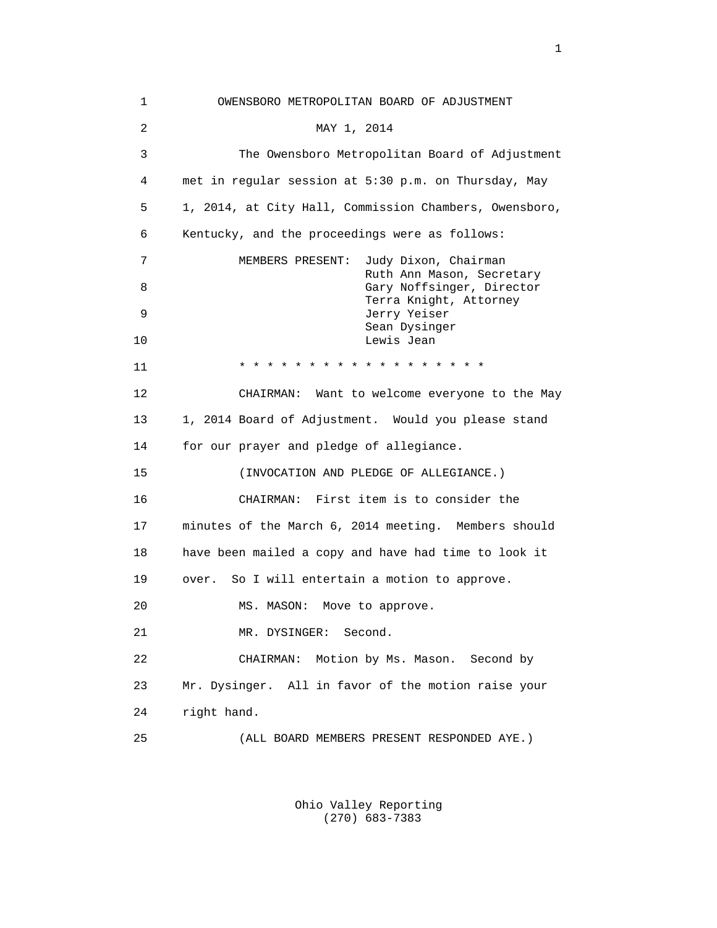1 OWENSBORO METROPOLITAN BOARD OF ADJUSTMENT 2 MAY 1, 2014 3 The Owensboro Metropolitan Board of Adjustment 4 met in regular session at 5:30 p.m. on Thursday, May 5 1, 2014, at City Hall, Commission Chambers, Owensboro, 6 Kentucky, and the proceedings were as follows: 7 MEMBERS PRESENT: Judy Dixon, Chairman Ruth Ann Mason, Secretary 8 Gary Noffsinger, Director Terra Knight, Attorney 9 Jerry Yeiser Sean Dysinger 10 Lewis Jean 11 \* \* \* \* \* \* \* \* \* \* \* \* \* \* \* \* \* \* 12 CHAIRMAN: Want to welcome everyone to the May 13 1, 2014 Board of Adjustment. Would you please stand 14 for our prayer and pledge of allegiance. 15 (INVOCATION AND PLEDGE OF ALLEGIANCE.) 16 CHAIRMAN: First item is to consider the 17 minutes of the March 6, 2014 meeting. Members should 18 have been mailed a copy and have had time to look it 19 over. So I will entertain a motion to approve. 20 MS. MASON: Move to approve. 21 MR. DYSINGER: Second. 22 CHAIRMAN: Motion by Ms. Mason. Second by 23 Mr. Dysinger. All in favor of the motion raise your 24 right hand. 25 (ALL BOARD MEMBERS PRESENT RESPONDED AYE.)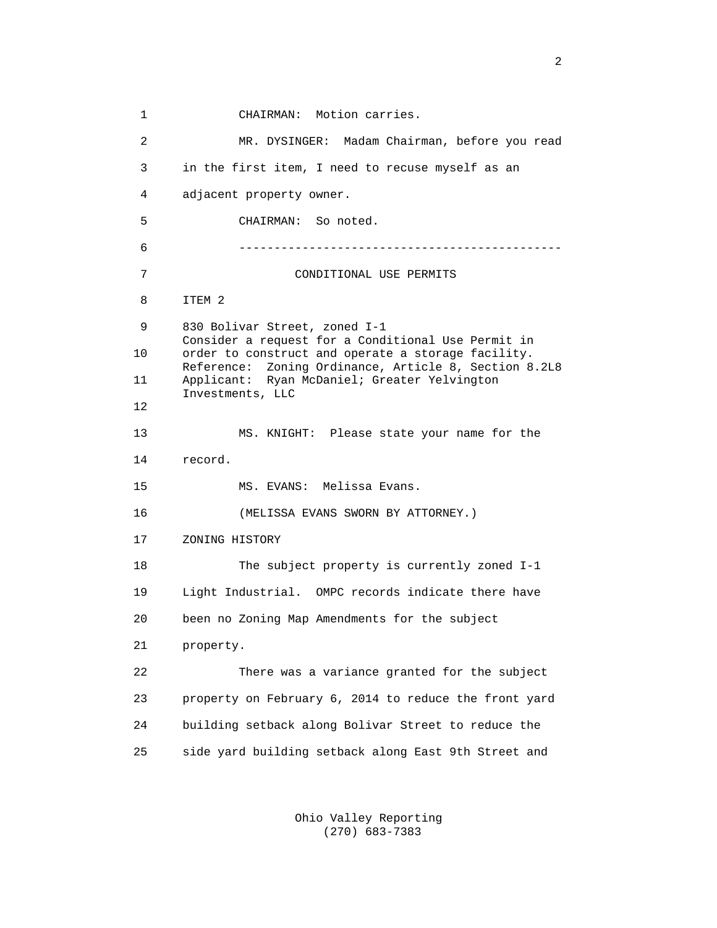1 CHAIRMAN: Motion carries. 2 MR. DYSINGER: Madam Chairman, before you read 3 in the first item, I need to recuse myself as an 4 adjacent property owner. 5 CHAIRMAN: So noted. 6 ---------------------------------------------- 7 CONDITIONAL USE PERMITS 8 ITEM 2 9 830 Bolivar Street, zoned I-1 Consider a request for a Conditional Use Permit in 10 order to construct and operate a storage facility. Reference: Zoning Ordinance, Article 8, Section 8.2L8 11 Applicant: Ryan McDaniel; Greater Yelvington Investments, LLC 12 13 MS. KNIGHT: Please state your name for the 14 record. 15 MS. EVANS: Melissa Evans. 16 (MELISSA EVANS SWORN BY ATTORNEY.) 17 ZONING HISTORY 18 The subject property is currently zoned I-1 19 Light Industrial. OMPC records indicate there have 20 been no Zoning Map Amendments for the subject 21 property. 22 There was a variance granted for the subject 23 property on February 6, 2014 to reduce the front yard 24 building setback along Bolivar Street to reduce the 25 side yard building setback along East 9th Street and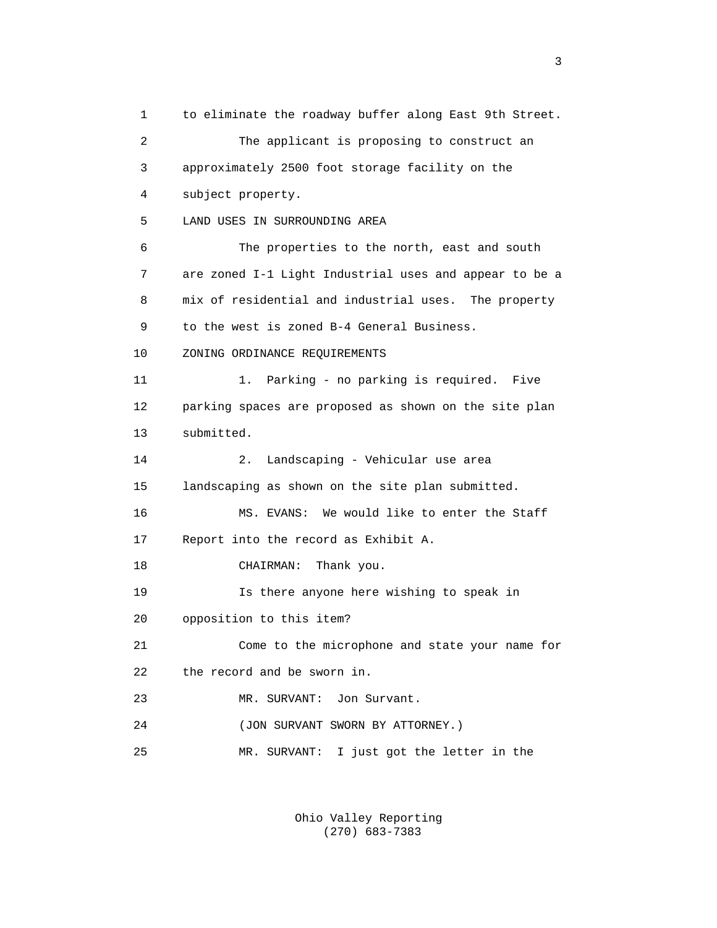1 to eliminate the roadway buffer along East 9th Street. 2 The applicant is proposing to construct an 3 approximately 2500 foot storage facility on the 4 subject property. 5 LAND USES IN SURROUNDING AREA 6 The properties to the north, east and south 7 are zoned I-1 Light Industrial uses and appear to be a 8 mix of residential and industrial uses. The property 9 to the west is zoned B-4 General Business. 10 ZONING ORDINANCE REQUIREMENTS 11 1. Parking - no parking is required. Five 12 parking spaces are proposed as shown on the site plan 13 submitted. 14 2. Landscaping - Vehicular use area 15 landscaping as shown on the site plan submitted. 16 MS. EVANS: We would like to enter the Staff 17 Report into the record as Exhibit A. 18 CHAIRMAN: Thank you. 19 Is there anyone here wishing to speak in 20 opposition to this item? 21 Come to the microphone and state your name for 22 the record and be sworn in. 23 MR. SURVANT: Jon Survant. 24 (JON SURVANT SWORN BY ATTORNEY.) 25 MR. SURVANT: I just got the letter in the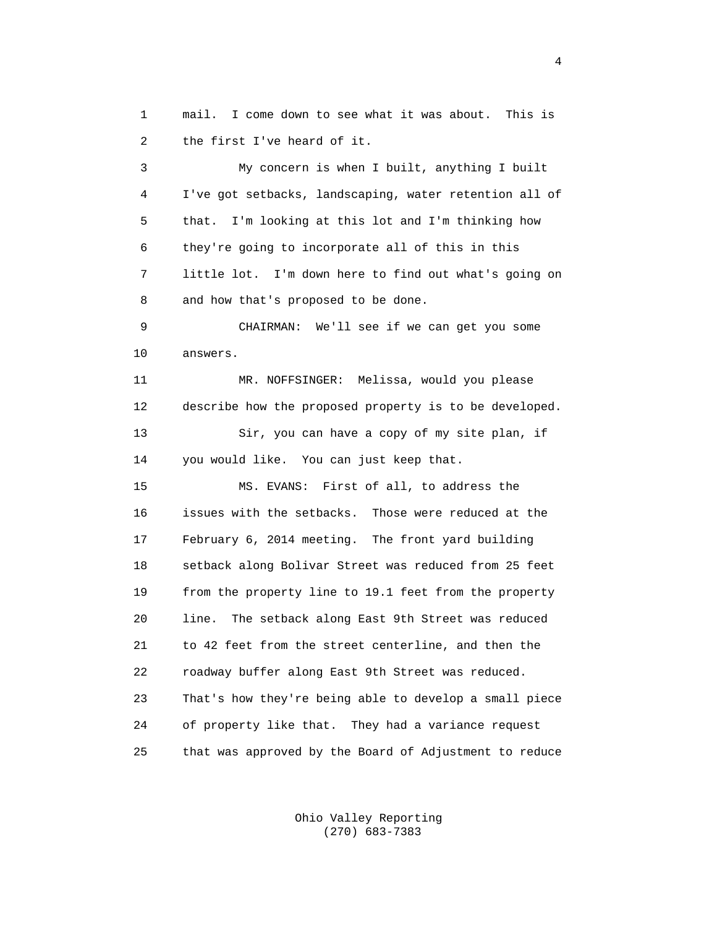1 mail. I come down to see what it was about. This is 2 the first I've heard of it.

 3 My concern is when I built, anything I built 4 I've got setbacks, landscaping, water retention all of 5 that. I'm looking at this lot and I'm thinking how 6 they're going to incorporate all of this in this 7 little lot. I'm down here to find out what's going on 8 and how that's proposed to be done.

 9 CHAIRMAN: We'll see if we can get you some 10 answers.

 11 MR. NOFFSINGER: Melissa, would you please 12 describe how the proposed property is to be developed. 13 Sir, you can have a copy of my site plan, if 14 you would like. You can just keep that.

 15 MS. EVANS: First of all, to address the 16 issues with the setbacks. Those were reduced at the 17 February 6, 2014 meeting. The front yard building 18 setback along Bolivar Street was reduced from 25 feet 19 from the property line to 19.1 feet from the property 20 line. The setback along East 9th Street was reduced 21 to 42 feet from the street centerline, and then the 22 roadway buffer along East 9th Street was reduced. 23 That's how they're being able to develop a small piece 24 of property like that. They had a variance request 25 that was approved by the Board of Adjustment to reduce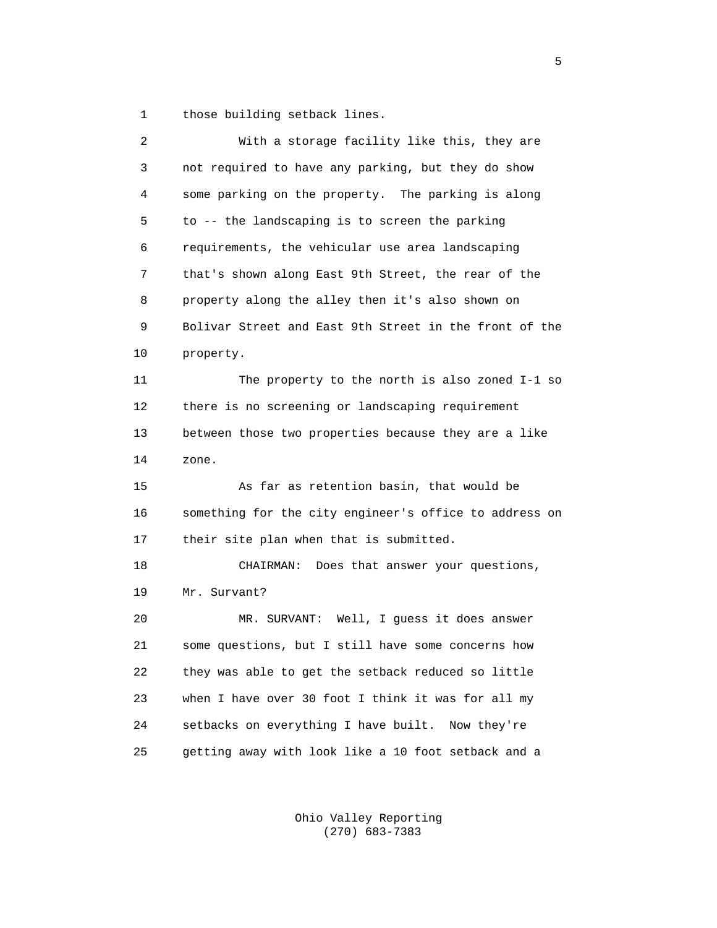1 those building setback lines.

| $\overline{a}$ | With a storage facility like this, they are            |
|----------------|--------------------------------------------------------|
| 3              | not required to have any parking, but they do show     |
| 4              | some parking on the property. The parking is along     |
| 5              | to -- the landscaping is to screen the parking         |
| 6              | requirements, the vehicular use area landscaping       |
| 7              | that's shown along East 9th Street, the rear of the    |
| 8              | property along the alley then it's also shown on       |
| 9              | Bolivar Street and East 9th Street in the front of the |
| 10             | property.                                              |
| 11             | The property to the north is also zoned I-1 so         |
| 12             | there is no screening or landscaping requirement       |
| 13             | between those two properties because they are a like   |
| 14             | zone.                                                  |
| 15             | As far as retention basin, that would be               |
| 16             | something for the city engineer's office to address on |
| 17             | their site plan when that is submitted.                |
| 18             | Does that answer your questions,<br>CHAIRMAN:          |
| 19             | Mr. Survant?                                           |
| 20             | MR. SURVANT: Well, I guess it does answer              |
| 21             | some questions, but I still have some concerns how     |
| 22             | they was able to get the setback reduced so little     |
| 23             | when I have over 30 foot I think it was for all my     |
| 24             | setbacks on everything I have built. Now they're       |
| 25             | getting away with look like a 10 foot setback and a    |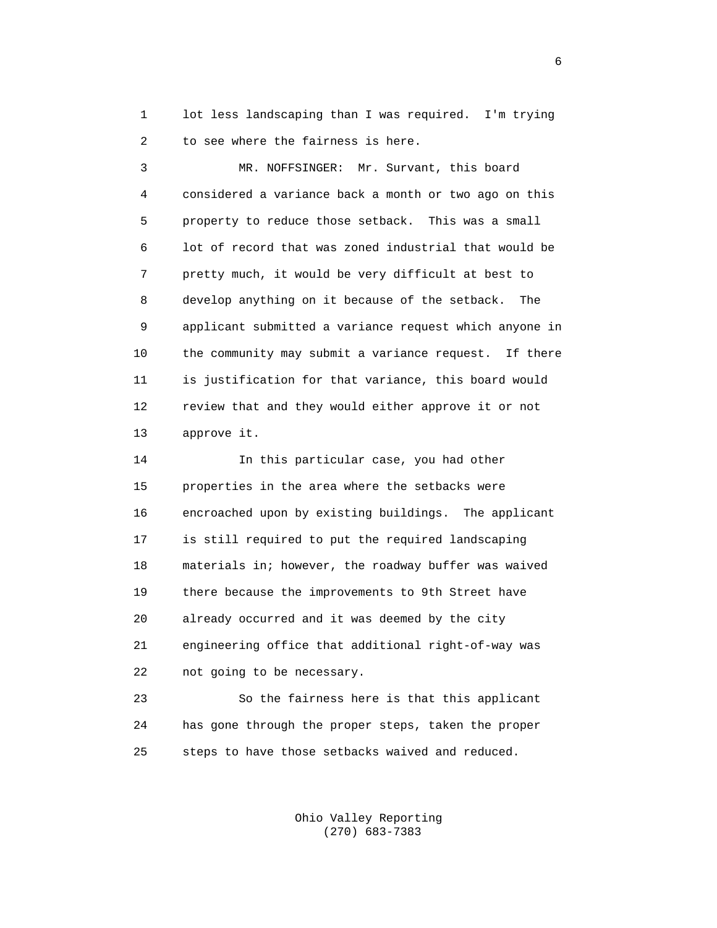1 lot less landscaping than I was required. I'm trying 2 to see where the fairness is here.

 3 MR. NOFFSINGER: Mr. Survant, this board 4 considered a variance back a month or two ago on this 5 property to reduce those setback. This was a small 6 lot of record that was zoned industrial that would be 7 pretty much, it would be very difficult at best to 8 develop anything on it because of the setback. The 9 applicant submitted a variance request which anyone in 10 the community may submit a variance request. If there 11 is justification for that variance, this board would 12 review that and they would either approve it or not 13 approve it.

 14 In this particular case, you had other 15 properties in the area where the setbacks were 16 encroached upon by existing buildings. The applicant 17 is still required to put the required landscaping 18 materials in; however, the roadway buffer was waived 19 there because the improvements to 9th Street have 20 already occurred and it was deemed by the city 21 engineering office that additional right-of-way was 22 not going to be necessary.

 23 So the fairness here is that this applicant 24 has gone through the proper steps, taken the proper 25 steps to have those setbacks waived and reduced.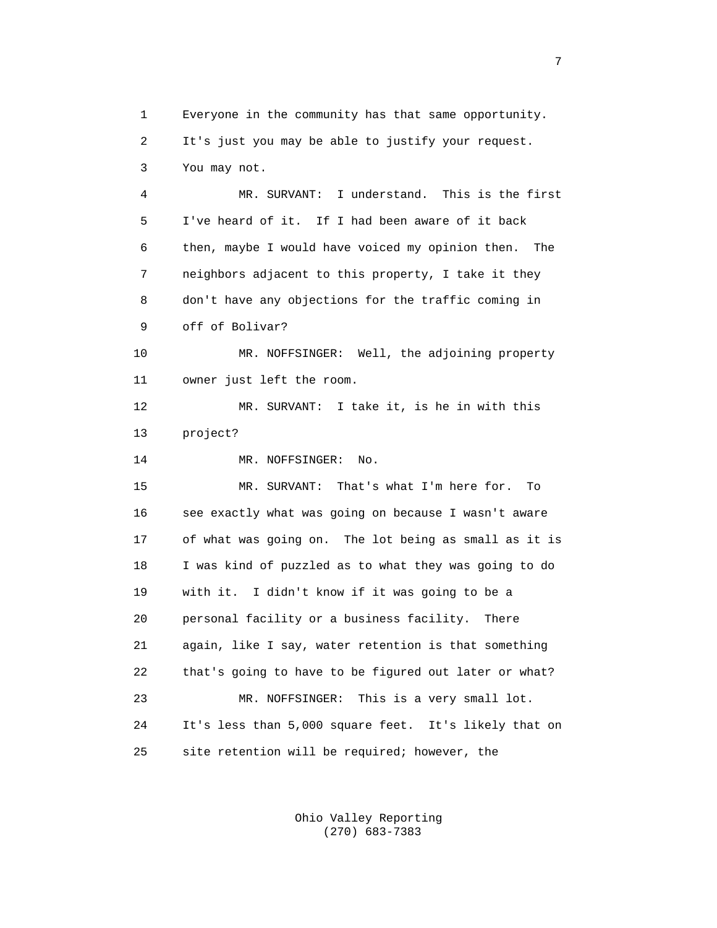1 Everyone in the community has that same opportunity. 2 It's just you may be able to justify your request. 3 You may not.

 4 MR. SURVANT: I understand. This is the first 5 I've heard of it. If I had been aware of it back 6 then, maybe I would have voiced my opinion then. The 7 neighbors adjacent to this property, I take it they 8 don't have any objections for the traffic coming in 9 off of Bolivar?

 10 MR. NOFFSINGER: Well, the adjoining property 11 owner just left the room.

 12 MR. SURVANT: I take it, is he in with this 13 project?

14 MR. NOFFSINGER: No.

 15 MR. SURVANT: That's what I'm here for. To 16 see exactly what was going on because I wasn't aware 17 of what was going on. The lot being as small as it is 18 I was kind of puzzled as to what they was going to do 19 with it. I didn't know if it was going to be a 20 personal facility or a business facility. There 21 again, like I say, water retention is that something 22 that's going to have to be figured out later or what? 23 MR. NOFFSINGER: This is a very small lot. 24 It's less than 5,000 square feet. It's likely that on 25 site retention will be required; however, the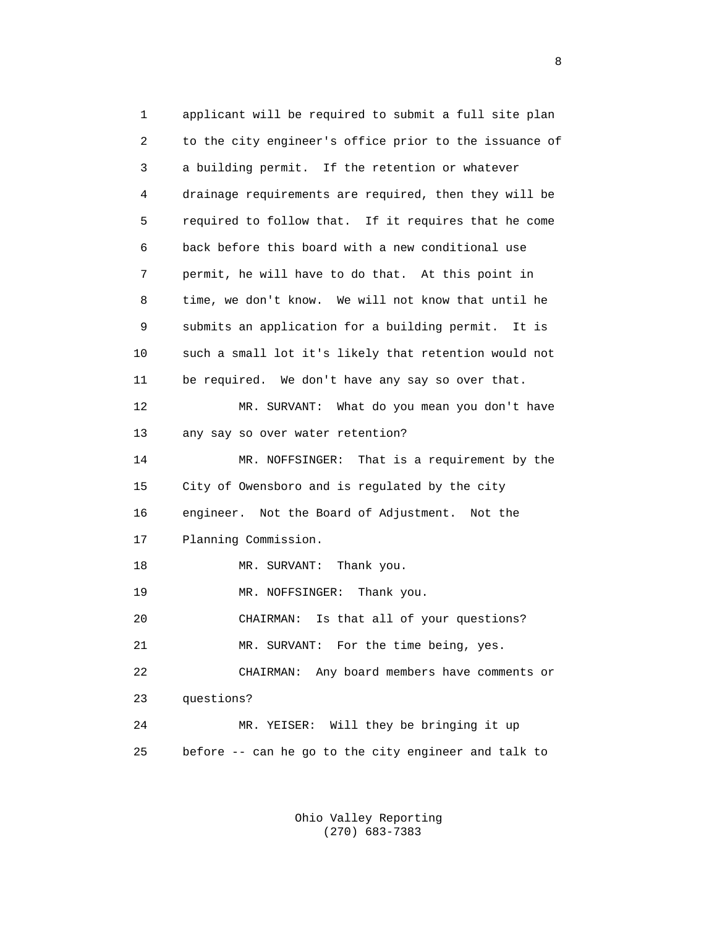1 applicant will be required to submit a full site plan 2 to the city engineer's office prior to the issuance of 3 a building permit. If the retention or whatever 4 drainage requirements are required, then they will be 5 required to follow that. If it requires that he come 6 back before this board with a new conditional use 7 permit, he will have to do that. At this point in 8 time, we don't know. We will not know that until he 9 submits an application for a building permit. It is 10 such a small lot it's likely that retention would not 11 be required. We don't have any say so over that. 12 MR. SURVANT: What do you mean you don't have 13 any say so over water retention? 14 MR. NOFFSINGER: That is a requirement by the 15 City of Owensboro and is regulated by the city 16 engineer. Not the Board of Adjustment. Not the 17 Planning Commission. 18 MR. SURVANT: Thank you. 19 MR. NOFFSINGER: Thank you. 20 CHAIRMAN: Is that all of your questions? 21 MR. SURVANT: For the time being, yes. 22 CHAIRMAN: Any board members have comments or 23 questions? 24 MR. YEISER: Will they be bringing it up 25 before -- can he go to the city engineer and talk to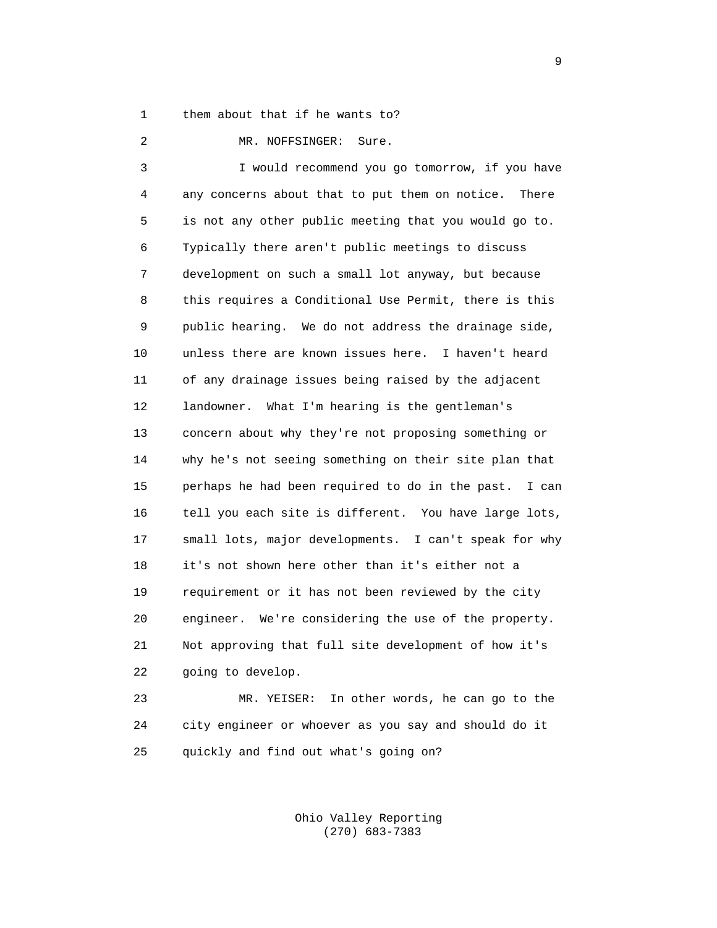1 them about that if he wants to?

 2 MR. NOFFSINGER: Sure. 3 I would recommend you go tomorrow, if you have 4 any concerns about that to put them on notice. There 5 is not any other public meeting that you would go to. 6 Typically there aren't public meetings to discuss 7 development on such a small lot anyway, but because 8 this requires a Conditional Use Permit, there is this 9 public hearing. We do not address the drainage side, 10 unless there are known issues here. I haven't heard 11 of any drainage issues being raised by the adjacent 12 landowner. What I'm hearing is the gentleman's 13 concern about why they're not proposing something or 14 why he's not seeing something on their site plan that 15 perhaps he had been required to do in the past. I can 16 tell you each site is different. You have large lots, 17 small lots, major developments. I can't speak for why 18 it's not shown here other than it's either not a 19 requirement or it has not been reviewed by the city 20 engineer. We're considering the use of the property. 21 Not approving that full site development of how it's 22 going to develop.

 23 MR. YEISER: In other words, he can go to the 24 city engineer or whoever as you say and should do it 25 quickly and find out what's going on?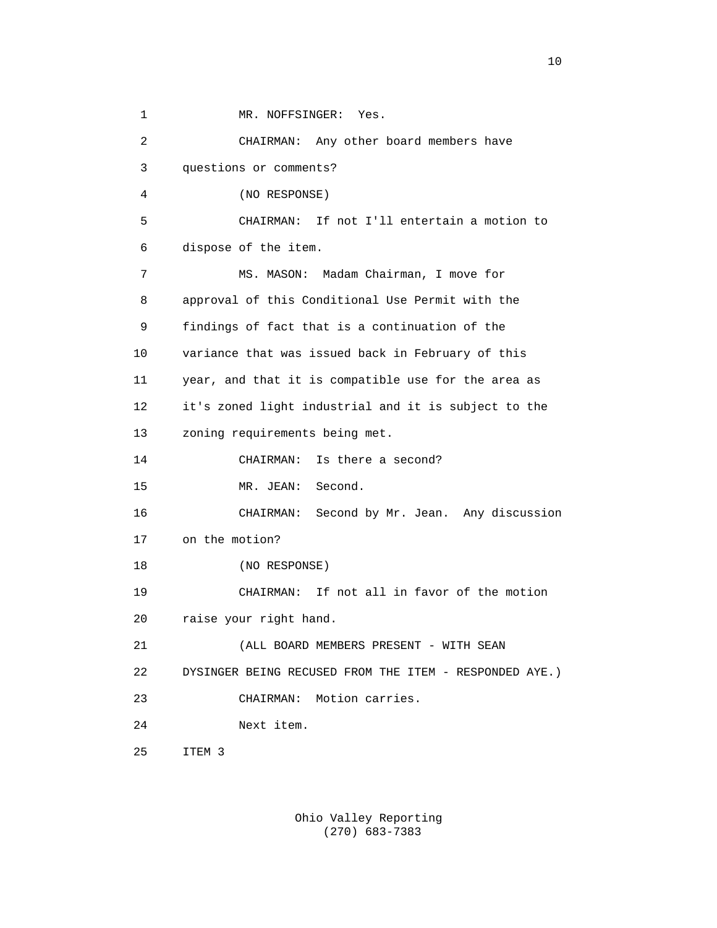1 MR. NOFFSINGER: Yes. 2 CHAIRMAN: Any other board members have 3 questions or comments? 4 (NO RESPONSE) 5 CHAIRMAN: If not I'll entertain a motion to 6 dispose of the item. 7 MS. MASON: Madam Chairman, I move for 8 approval of this Conditional Use Permit with the 9 findings of fact that is a continuation of the 10 variance that was issued back in February of this 11 year, and that it is compatible use for the area as 12 it's zoned light industrial and it is subject to the 13 zoning requirements being met. 14 CHAIRMAN: Is there a second? 15 MR. JEAN: Second. 16 CHAIRMAN: Second by Mr. Jean. Any discussion 17 on the motion? 18 (NO RESPONSE) 19 CHAIRMAN: If not all in favor of the motion 20 raise your right hand. 21 (ALL BOARD MEMBERS PRESENT - WITH SEAN 22 DYSINGER BEING RECUSED FROM THE ITEM - RESPONDED AYE.) 23 CHAIRMAN: Motion carries. 24 Next item. 25 ITEM 3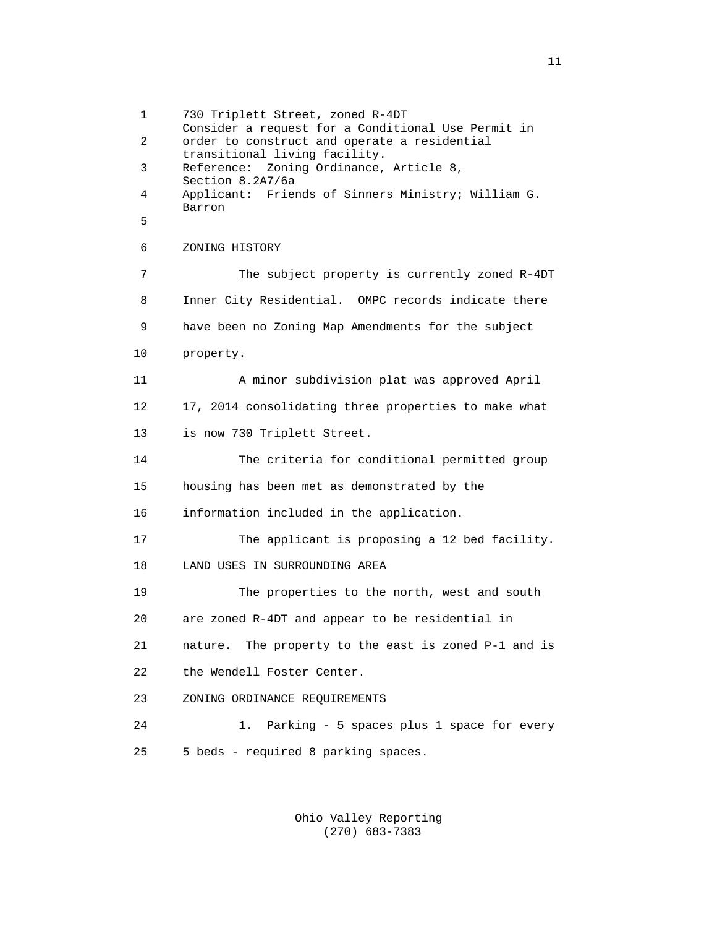1 730 Triplett Street, zoned R-4DT Consider a request for a Conditional Use Permit in 2 order to construct and operate a residential transitional living facility. 3 Reference: Zoning Ordinance, Article 8, Section 8.2A7/6a 4 Applicant: Friends of Sinners Ministry; William G. Barron 5 6 ZONING HISTORY 7 The subject property is currently zoned R-4DT 8 Inner City Residential. OMPC records indicate there 9 have been no Zoning Map Amendments for the subject 10 property. 11 A minor subdivision plat was approved April 12 17, 2014 consolidating three properties to make what 13 is now 730 Triplett Street. 14 The criteria for conditional permitted group 15 housing has been met as demonstrated by the 16 information included in the application. 17 The applicant is proposing a 12 bed facility. 18 LAND USES IN SURROUNDING AREA 19 The properties to the north, west and south 20 are zoned R-4DT and appear to be residential in 21 nature. The property to the east is zoned P-1 and is 22 the Wendell Foster Center. 23 ZONING ORDINANCE REQUIREMENTS 24 1. Parking - 5 spaces plus 1 space for every 25 5 beds - required 8 parking spaces.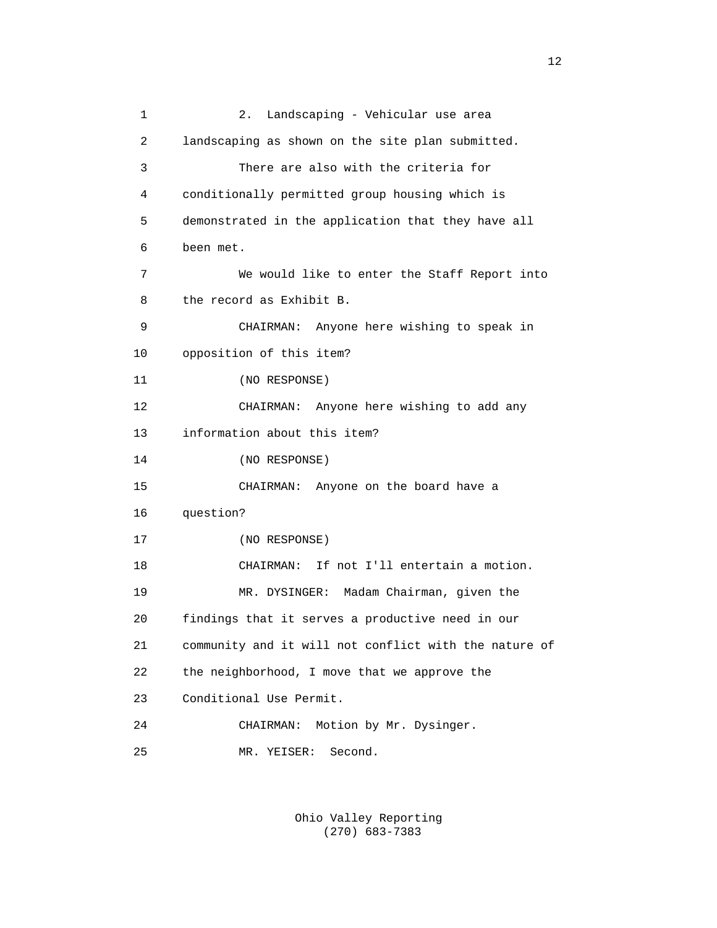1 2. Landscaping - Vehicular use area 2 landscaping as shown on the site plan submitted. 3 There are also with the criteria for 4 conditionally permitted group housing which is 5 demonstrated in the application that they have all 6 been met. 7 We would like to enter the Staff Report into 8 the record as Exhibit B. 9 CHAIRMAN: Anyone here wishing to speak in 10 opposition of this item? 11 (NO RESPONSE) 12 CHAIRMAN: Anyone here wishing to add any 13 information about this item? 14 (NO RESPONSE) 15 CHAIRMAN: Anyone on the board have a 16 question? 17 (NO RESPONSE) 18 CHAIRMAN: If not I'll entertain a motion. 19 MR. DYSINGER: Madam Chairman, given the 20 findings that it serves a productive need in our 21 community and it will not conflict with the nature of 22 the neighborhood, I move that we approve the 23 Conditional Use Permit. 24 CHAIRMAN: Motion by Mr. Dysinger. 25 MR. YEISER: Second.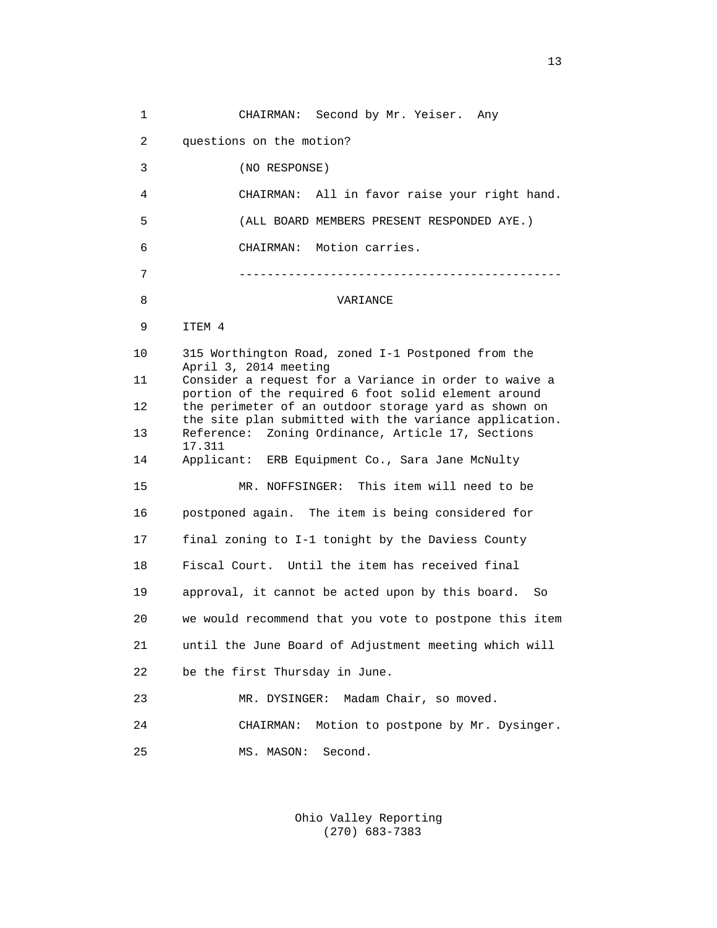1 CHAIRMAN: Second by Mr. Yeiser. Any 2 questions on the motion? 3 (NO RESPONSE) 4 CHAIRMAN: All in favor raise your right hand. 5 (ALL BOARD MEMBERS PRESENT RESPONDED AYE.) 6 CHAIRMAN: Motion carries. 7 ---------------------------------------------- 8 VARIANCE 9 ITEM 4 10 315 Worthington Road, zoned I-1 Postponed from the April 3, 2014 meeting 11 Consider a request for a Variance in order to waive a portion of the required 6 foot solid element around 12 the perimeter of an outdoor storage yard as shown on the site plan submitted with the variance application. 13 Reference: Zoning Ordinance, Article 17, Sections 17.311 14 Applicant: ERB Equipment Co., Sara Jane McNulty 15 MR. NOFFSINGER: This item will need to be 16 postponed again. The item is being considered for 17 final zoning to I-1 tonight by the Daviess County 18 Fiscal Court. Until the item has received final 19 approval, it cannot be acted upon by this board. So 20 we would recommend that you vote to postpone this item 21 until the June Board of Adjustment meeting which will 22 be the first Thursday in June. 23 MR. DYSINGER: Madam Chair, so moved. 24 CHAIRMAN: Motion to postpone by Mr. Dysinger. 25 MS. MASON: Second.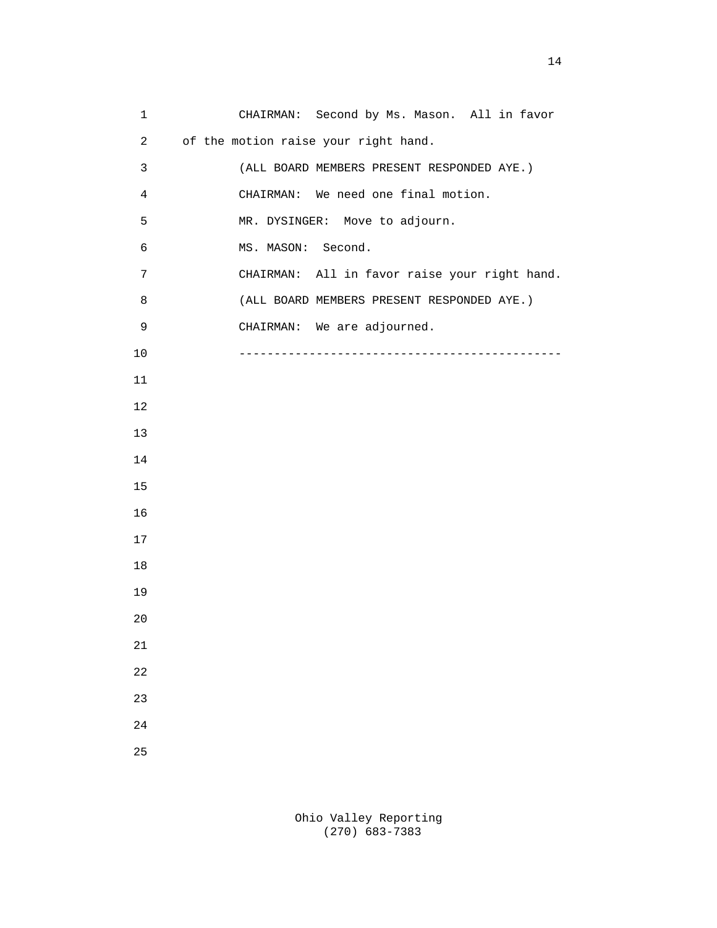1 CHAIRMAN: Second by Ms. Mason. All in favor 2 of the motion raise your right hand. 3 (ALL BOARD MEMBERS PRESENT RESPONDED AYE.) 4 CHAIRMAN: We need one final motion. 5 MR. DYSINGER: Move to adjourn. 6 MS. MASON: Second. 7 CHAIRMAN: All in favor raise your right hand. 8 (ALL BOARD MEMBERS PRESENT RESPONDED AYE.) 9 CHAIRMAN: We are adjourned. 10 ---------------------------------------------- 11 12 13 14 15 16 17 18 19 20 21 22 23 24 25